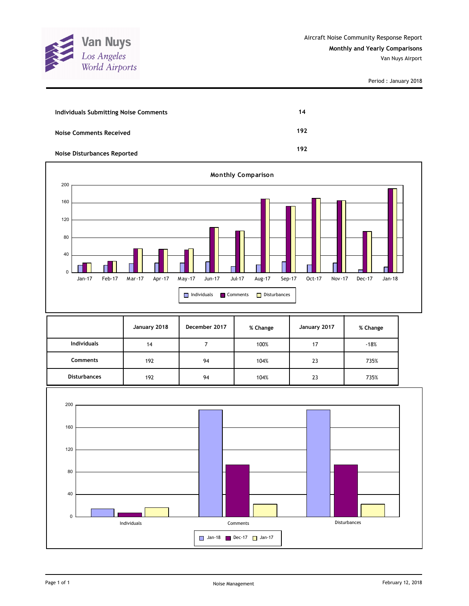

| Individuals Submitting Noise Comments | 14  |
|---------------------------------------|-----|
| Noise Comments Received               | 192 |
| Noise Disturbances Reported           | 192 |



|                     | January 2018 | December 2017 | % Change | January 2017 | % Change |
|---------------------|--------------|---------------|----------|--------------|----------|
| <b>Individuals</b>  | 14           |               | 100%     | 17           | $-18%$   |
| <b>Comments</b>     | 192          | 94            | 104%     | 23           | 735%     |
| <b>Disturbances</b> | 192          | 94            | 104%     | 23           | 735%     |

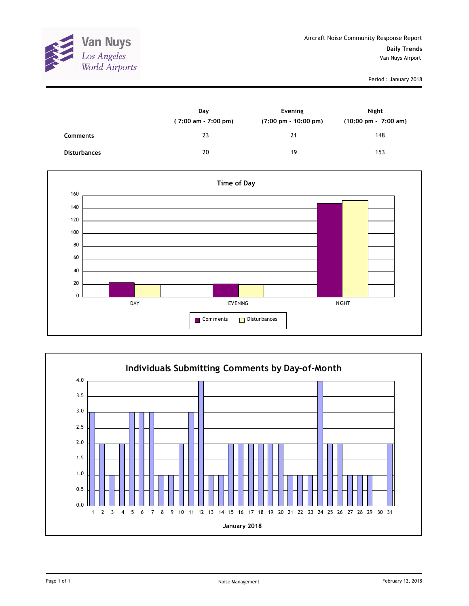

|                     | Day<br>$(7:00 \text{ am} - 7:00 \text{ pm})$ | Evening<br>$(7:00 \text{ pm} - 10:00 \text{ pm})$ | Night<br>$(10:00 \text{ pm} - 7:00 \text{ am})$ |
|---------------------|----------------------------------------------|---------------------------------------------------|-------------------------------------------------|
| <b>Comments</b>     | 23                                           | 21                                                | 148                                             |
| <b>Disturbances</b> | 20                                           | 19                                                | 153                                             |



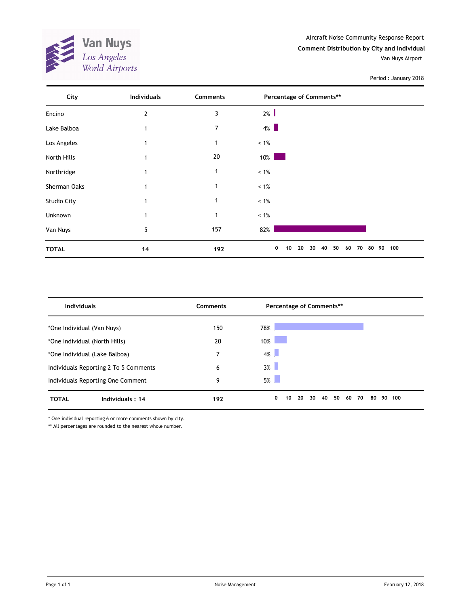

| City               | <b>Individuals</b> | Comments       | Percentage of Comments**                          |        |
|--------------------|--------------------|----------------|---------------------------------------------------|--------|
| Encino             | 2                  | 3              | $2\%$                                             |        |
| Lake Balboa        |                    | $\overline{7}$ | $4\%$                                             |        |
| Los Angeles        |                    | 1              | $< 1\%$                                           |        |
| North Hills        | 1                  | 20             | $10\%$                                            |        |
| Northridge         |                    | 1              | $< 1\%$                                           |        |
| Sherman Oaks       |                    | 1              | $< 1\%$                                           |        |
| <b>Studio City</b> | 1                  | $\mathbf{1}$   | $< 1\%$                                           |        |
| Unknown            |                    | 1              | $~1\%$                                            |        |
| Van Nuys           | 5                  | 157            | 82%                                               |        |
| <b>TOTAL</b>       | 14                 | 192            | 0<br>40<br>50<br>10<br>20<br>30<br>60<br>70<br>80 | 90 100 |

| <b>Individuals</b>                    | Comments | Percentage of Comments**                    |                 |
|---------------------------------------|----------|---------------------------------------------|-----------------|
| *One Individual (Van Nuys)            | 150      | 78%                                         |                 |
| *One Individual (North Hills)         | 20       | 10%                                         |                 |
| *One Individual (Lake Balboa)         |          | $4\%$                                       |                 |
| Individuals Reporting 2 To 5 Comments | 6        | $3\%$                                       |                 |
| Individuals Reporting One Comment     | 9        | $5\%$                                       |                 |
| <b>TOTAL</b><br>Individuals: 14       | 192      | 40<br>50<br>0<br>20<br>30<br>60<br>70<br>10 | 80<br>90<br>100 |

\* One individual reporting 6 or more comments shown by city.

\*\* All percentages are rounded to the nearest whole number.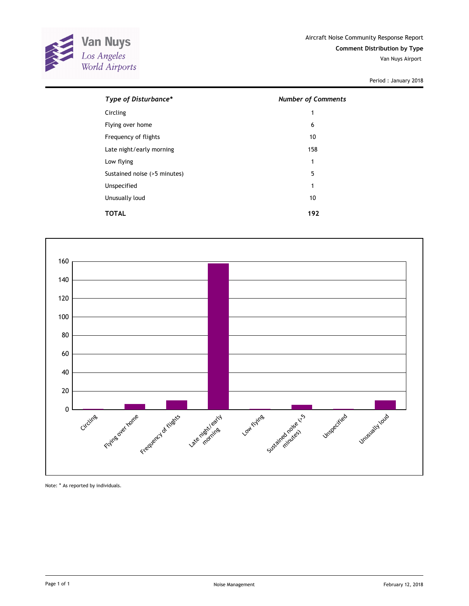

| Type of Disturbance*         | <b>Number of Comments</b> |
|------------------------------|---------------------------|
| Circling                     | 1                         |
| Flying over home             | 6                         |
| Frequency of flights         | 10                        |
| Late night/early morning     | 158                       |
| Low flying                   | 1                         |
| Sustained noise (>5 minutes) | 5                         |
| Unspecified                  | 1                         |
| Unusually loud               | 10                        |
| TOTAL                        | 192                       |



Note: \* As reported by individuals.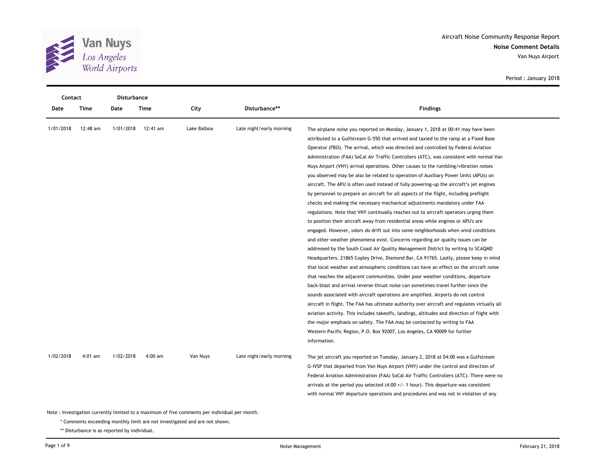

**Noise Comment Details** Aircraft Noise Community Response Report Van Nuys Airport

Period : January 2018

|           | Contact<br>Disturbance |           |           |             |                          |                                                                                              |  |  |
|-----------|------------------------|-----------|-----------|-------------|--------------------------|----------------------------------------------------------------------------------------------|--|--|
| Date      | Time                   | Date      | Time      | City        | Disturbance**            | <b>Findings</b>                                                                              |  |  |
| 1/01/2018 | 12:48 am               | 1/01/2018 | 12:41 am  | Lake Balboa | Late night/early morning | The airplane noise you reported on Monday, January 1, 2018 at 00:41 may have been            |  |  |
|           |                        |           |           |             |                          | attributed to a Gulfstream G-550 that arrived and taxied to the ramp at a Fixed Base         |  |  |
|           |                        |           |           |             |                          | Operator (FBO). The arrival, which was directed and controlled by Federal Aviation           |  |  |
|           |                        |           |           |             |                          | Administration (FAA) SoCal Air Traffic Controllers (ATC), was consistent with normal Van     |  |  |
|           |                        |           |           |             |                          | Nuys Airport (VNY) arrival operations. Other causes to the rumbling/vibration noises         |  |  |
|           |                        |           |           |             |                          | you observed may be also be related to operation of Auxiliary Power Units (APUs) on          |  |  |
|           |                        |           |           |             |                          | aircraft. The APU is often used instead of fully powering-up the aircraft's jet engines      |  |  |
|           |                        |           |           |             |                          | by personnel to prepare an aircraft for all aspects of the flight, including preflight       |  |  |
|           |                        |           |           |             |                          | checks and making the necessary mechanical adjustments mandatory under FAA                   |  |  |
|           |                        |           |           |             |                          | regulations. Note that VNY continually reaches out to aircraft operators urging them         |  |  |
|           |                        |           |           |             |                          | to position their aircraft away from residential areas while engines or APU's are            |  |  |
|           |                        |           |           |             |                          | engaged. However, odors do drift out into some neighborhoods when wind conditions            |  |  |
|           |                        |           |           |             |                          | and other weather phenomena exist. Concerns regarding air quality issues can be              |  |  |
|           |                        |           |           |             |                          | addressed by the South Coast Air Quality Management District by writing to SCAQMD            |  |  |
|           |                        |           |           |             |                          | Headquarters, 21865 Copley Drive, Diamond Bar, CA 91765. Lastly, please keep in mind         |  |  |
|           |                        |           |           |             |                          | that local weather and atmospheric conditions can have an effect on the aircraft noise       |  |  |
|           |                        |           |           |             |                          | that reaches the adjacent communities. Under poor weather conditions, departure              |  |  |
|           |                        |           |           |             |                          | back-blast and arrival reverse-thrust noise can sometimes travel further since the           |  |  |
|           |                        |           |           |             |                          | sounds associated with aircraft operations are amplified. Airports do not control            |  |  |
|           |                        |           |           |             |                          | aircraft in flight. The FAA has ultimate authority over aircraft and regulates virtually all |  |  |
|           |                        |           |           |             |                          | aviation activity. This includes takeoffs, landings, altitudes and direction of flight with  |  |  |
|           |                        |           |           |             |                          | the major emphasis on safety. The FAA may be contacted by writing to FAA                     |  |  |
|           |                        |           |           |             |                          | Western-Pacific Region, P.O. Box 92007, Los Angeles, CA 90009 for further                    |  |  |
|           |                        |           |           |             |                          | information.                                                                                 |  |  |
| 1/02/2018 | $4:01$ am              | 1/02/2018 | $4:00$ am | Van Nuys    | Late night/early morning | The jet aircraft you reported on Tuesday, January 2, 2018 at 04:00 was a Gulfstream          |  |  |
|           |                        |           |           |             |                          | G-IVSP that departed from Van Nuys Airport (VNY) under the control and direction of          |  |  |
|           |                        |           |           |             |                          | Federal Aviation Administration (FAA) SoCal Air Traffic Controllers (ATC). There were no     |  |  |
|           |                        |           |           |             |                          | arrivals at the period you selected $(4:00 +/- 1$ hour). This departure was consistent       |  |  |
|           |                        |           |           |             |                          | with normal VNY departure operations and procedures and was not in violation of any          |  |  |
|           |                        |           |           |             |                          |                                                                                              |  |  |

Note : Investigation currently limited to a maximum of five comments per individual per month.

\* Comments exceeding monthly limit are not investigated and are not shown.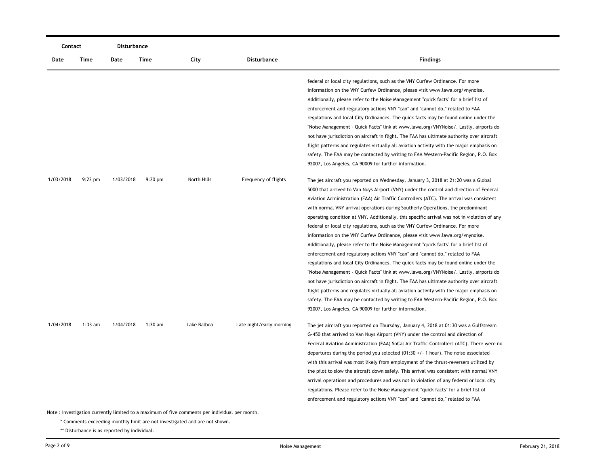|           | Contact                                                                                        |           | Disturbance |             |                          |                                                                                             |  |  |  |  |
|-----------|------------------------------------------------------------------------------------------------|-----------|-------------|-------------|--------------------------|---------------------------------------------------------------------------------------------|--|--|--|--|
| Date      | Time                                                                                           | Date      | Time        | City        | Disturbance              | <b>Findings</b>                                                                             |  |  |  |  |
|           |                                                                                                |           |             |             |                          | federal or local city regulations, such as the VNY Curfew Ordinance. For more               |  |  |  |  |
|           |                                                                                                |           |             |             |                          | information on the VNY Curfew Ordinance, please visit www.lawa.org/vnynoise.                |  |  |  |  |
|           |                                                                                                |           |             |             |                          | Additionally, please refer to the Noise Management "quick facts" for a brief list of        |  |  |  |  |
|           |                                                                                                |           |             |             |                          | enforcement and regulatory actions VNY "can" and "cannot do," related to FAA                |  |  |  |  |
|           |                                                                                                |           |             |             |                          | regulations and local City Ordinances. The quick facts may be found online under the        |  |  |  |  |
|           |                                                                                                |           |             |             |                          | "Noise Management - Quick Facts" link at www.lawa.org/VNYNoise/. Lastly, airports do        |  |  |  |  |
|           |                                                                                                |           |             |             |                          | not have jurisdiction on aircraft in flight. The FAA has ultimate authority over aircraft   |  |  |  |  |
|           |                                                                                                |           |             |             |                          | flight patterns and regulates virtually all aviation activity with the major emphasis on    |  |  |  |  |
|           |                                                                                                |           |             |             |                          | safety. The FAA may be contacted by writing to FAA Western-Pacific Region, P.O. Box         |  |  |  |  |
|           |                                                                                                |           |             |             |                          | 92007, Los Angeles, CA 90009 for further information.                                       |  |  |  |  |
| 1/03/2018 | $9:22$ pm                                                                                      | 1/03/2018 | $9:20$ pm   | North Hills | Frequency of flights     | The jet aircraft you reported on Wednesday, January 3, 2018 at 21:20 was a Global           |  |  |  |  |
|           |                                                                                                |           |             |             |                          | 5000 that arrived to Van Nuys Airport (VNY) under the control and direction of Federal      |  |  |  |  |
|           |                                                                                                |           |             |             |                          | Aviation Administration (FAA) Air Traffic Controllers (ATC). The arrival was consistent     |  |  |  |  |
|           |                                                                                                |           |             |             |                          | with normal VNY arrival operations during Southerly Operations, the predominant             |  |  |  |  |
|           |                                                                                                |           |             |             |                          | operating condition at VNY. Additionally, this specific arrival was not in violation of any |  |  |  |  |
|           |                                                                                                |           |             |             |                          | federal or local city regulations, such as the VNY Curfew Ordinance. For more               |  |  |  |  |
|           |                                                                                                |           |             |             |                          | information on the VNY Curfew Ordinance, please visit www.lawa.org/vnynoise.                |  |  |  |  |
|           |                                                                                                |           |             |             |                          | Additionally, please refer to the Noise Management "quick facts" for a brief list of        |  |  |  |  |
|           |                                                                                                |           |             |             |                          | enforcement and regulatory actions VNY "can" and "cannot do," related to FAA                |  |  |  |  |
|           |                                                                                                |           |             |             |                          | regulations and local City Ordinances. The quick facts may be found online under the        |  |  |  |  |
|           |                                                                                                |           |             |             |                          | "Noise Management - Quick Facts" link at www.lawa.org/VNYNoise/. Lastly, airports do        |  |  |  |  |
|           |                                                                                                |           |             |             |                          | not have jurisdiction on aircraft in flight. The FAA has ultimate authority over aircraft   |  |  |  |  |
|           |                                                                                                |           |             |             |                          | flight patterns and regulates virtually all aviation activity with the major emphasis on    |  |  |  |  |
|           |                                                                                                |           |             |             |                          | safety. The FAA may be contacted by writing to FAA Western-Pacific Region, P.O. Box         |  |  |  |  |
|           |                                                                                                |           |             |             |                          | 92007, Los Angeles, CA 90009 for further information.                                       |  |  |  |  |
| 1/04/2018 | $1:33$ am                                                                                      | 1/04/2018 | $1:30$ am   | Lake Balboa | Late night/early morning | The jet aircraft you reported on Thursday, January 4, 2018 at 01:30 was a Gulfstream        |  |  |  |  |
|           |                                                                                                |           |             |             |                          | G-450 that arrived to Van Nuys Airport (VNY) under the control and direction of             |  |  |  |  |
|           |                                                                                                |           |             |             |                          | Federal Aviation Administration (FAA) SoCal Air Traffic Controllers (ATC). There were no    |  |  |  |  |
|           |                                                                                                |           |             |             |                          | departures during the period you selected $(01:30 +/- 1$ hour). The noise associated        |  |  |  |  |
|           |                                                                                                |           |             |             |                          | with this arrival was most likely from employment of the thrust-reversers utilized by       |  |  |  |  |
|           |                                                                                                |           |             |             |                          | the pilot to slow the aircraft down safely. This arrival was consistent with normal VNY     |  |  |  |  |
|           |                                                                                                |           |             |             |                          | arrival operations and procedures and was not in violation of any federal or local city     |  |  |  |  |
|           |                                                                                                |           |             |             |                          | regulations. Please refer to the Noise Management "quick facts" for a brief list of         |  |  |  |  |
|           |                                                                                                |           |             |             |                          | enforcement and regulatory actions VNY "can" and "cannot do," related to FAA                |  |  |  |  |
|           | Note : Investigation currently limited to a maximum of five comments per individual per month. |           |             |             |                          |                                                                                             |  |  |  |  |

\* Comments exceeding monthly limit are not investigated and are not shown.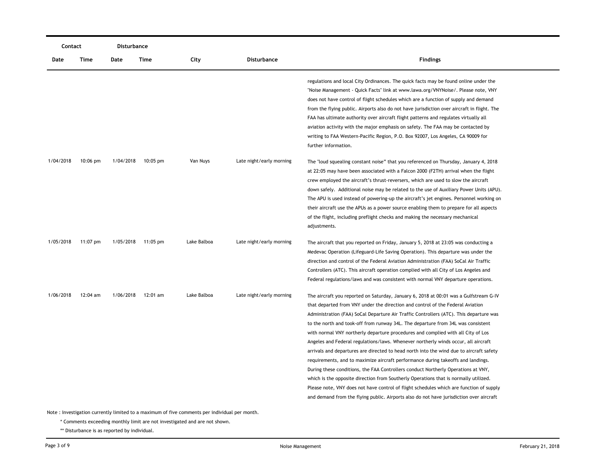| Contact   |            | Disturbance |            |             |                          |                                                                                                                                                                                                                                                                                                                                                                                                                                                                                                                                                                                                                                                                                                                                                                                                                                                                                                                                                                                                                                                                                   |
|-----------|------------|-------------|------------|-------------|--------------------------|-----------------------------------------------------------------------------------------------------------------------------------------------------------------------------------------------------------------------------------------------------------------------------------------------------------------------------------------------------------------------------------------------------------------------------------------------------------------------------------------------------------------------------------------------------------------------------------------------------------------------------------------------------------------------------------------------------------------------------------------------------------------------------------------------------------------------------------------------------------------------------------------------------------------------------------------------------------------------------------------------------------------------------------------------------------------------------------|
| Date      | Time       | Date        | Time       | City        | Disturbance              | <b>Findings</b>                                                                                                                                                                                                                                                                                                                                                                                                                                                                                                                                                                                                                                                                                                                                                                                                                                                                                                                                                                                                                                                                   |
|           |            |             |            |             |                          | regulations and local City Ordinances. The quick facts may be found online under the<br>"Noise Management - Quick Facts" link at www.lawa.org/VNYNoise/. Please note, VNY<br>does not have control of flight schedules which are a function of supply and demand<br>from the flying public. Airports also do not have jurisdiction over aircraft in flight. The<br>FAA has ultimate authority over aircraft flight patterns and regulates virtually all<br>aviation activity with the major emphasis on safety. The FAA may be contacted by<br>writing to FAA Western-Pacific Region, P.O. Box 92007, Los Angeles, CA 90009 for<br>further information.                                                                                                                                                                                                                                                                                                                                                                                                                           |
| 1/04/2018 | $10:06$ pm | 1/04/2018   | $10:05$ pm | Van Nuys    | Late night/early morning | The "loud squealing constant noise" that you referenced on Thursday, January 4, 2018<br>at 22:05 may have been associated with a Falcon 2000 (F2TH) arrival when the flight<br>crew employed the aircraft's thrust-reversers, which are used to slow the aircraft<br>down safely. Additional noise may be related to the use of Auxiliary Power Units (APU).<br>The APU is used instead of powering-up the aircraft's jet engines. Personnel working on<br>their aircraft use the APUs as a power source enabling them to prepare for all aspects<br>of the flight, including preflight checks and making the necessary mechanical<br>adjustments.                                                                                                                                                                                                                                                                                                                                                                                                                                |
| 1/05/2018 | 11:07 pm   | 1/05/2018   | 11:05 pm   | Lake Balboa | Late night/early morning | The aircraft that you reported on Friday, January 5, 2018 at 23:05 was conducting a<br>Medevac Operation (Lifeguard-Life Saving Operation). This departure was under the<br>direction and control of the Federal Aviation Administration (FAA) SoCal Air Traffic<br>Controllers (ATC). This aircraft operation complied with all City of Los Angeles and<br>Federal regulations/laws and was consistent with normal VNY departure operations.                                                                                                                                                                                                                                                                                                                                                                                                                                                                                                                                                                                                                                     |
| 1/06/2018 | 12:04 am   | 1/06/2018   | 12:01 am   | Lake Balboa | Late night/early morning | The aircraft you reported on Saturday, January 6, 2018 at 00:01 was a Gulfstream G-IV<br>that departed from VNY under the direction and control of the Federal Aviation<br>Administration (FAA) SoCal Departure Air Traffic Controllers (ATC). This departure was<br>to the north and took-off from runway 34L. The departure from 34L was consistent<br>with normal VNY northerly departure procedures and complied with all City of Los<br>Angeles and Federal regulations/laws. Whenever northerly winds occur, all aircraft<br>arrivals and departures are directed to head north into the wind due to aircraft safety<br>requirements, and to maximize aircraft performance during takeoffs and landings.<br>During these conditions, the FAA Controllers conduct Northerly Operations at VNY,<br>which is the opposite direction from Southerly Operations that is normally utilized.<br>Please note, VNY does not have control of flight schedules which are function of supply<br>and demand from the flying public. Airports also do not have jurisdiction over aircraft |

\* Comments exceeding monthly limit are not investigated and are not shown.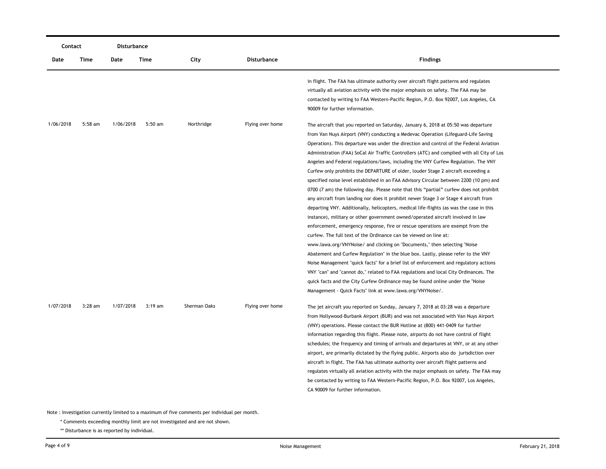| Contact   |           | Disturbance |           |              |                    |                                                                                                                                                                                                                                                                                                                                                                                                                                                                                                                                                                                                                                                                                                                                                                                                                                                                                                                                                                                                                                                                                                                                                                                                                                                                                                                                                                                                                                                                                                                                                                                                                                                                 |
|-----------|-----------|-------------|-----------|--------------|--------------------|-----------------------------------------------------------------------------------------------------------------------------------------------------------------------------------------------------------------------------------------------------------------------------------------------------------------------------------------------------------------------------------------------------------------------------------------------------------------------------------------------------------------------------------------------------------------------------------------------------------------------------------------------------------------------------------------------------------------------------------------------------------------------------------------------------------------------------------------------------------------------------------------------------------------------------------------------------------------------------------------------------------------------------------------------------------------------------------------------------------------------------------------------------------------------------------------------------------------------------------------------------------------------------------------------------------------------------------------------------------------------------------------------------------------------------------------------------------------------------------------------------------------------------------------------------------------------------------------------------------------------------------------------------------------|
| Date      | Time      | Date        | Time      | City         | <b>Disturbance</b> | <b>Findings</b>                                                                                                                                                                                                                                                                                                                                                                                                                                                                                                                                                                                                                                                                                                                                                                                                                                                                                                                                                                                                                                                                                                                                                                                                                                                                                                                                                                                                                                                                                                                                                                                                                                                 |
|           |           |             |           |              |                    | in flight. The FAA has ultimate authority over aircraft flight patterns and regulates<br>virtually all aviation activity with the major emphasis on safety. The FAA may be<br>contacted by writing to FAA Western-Pacific Region, P.O. Box 92007, Los Angeles, CA<br>90009 for further information.                                                                                                                                                                                                                                                                                                                                                                                                                                                                                                                                                                                                                                                                                                                                                                                                                                                                                                                                                                                                                                                                                                                                                                                                                                                                                                                                                             |
| 1/06/2018 | $5:58$ am | 1/06/2018   | $5:50$ am | Northridge   | Flying over home   | The aircraft that you reported on Saturday, January 6, 2018 at 05:50 was departure<br>from Van Nuys Airport (VNY) conducting a Medevac Operation (Lifeguard-Life Saving<br>Operation). This departure was under the direction and control of the Federal Aviation<br>Administration (FAA) SoCal Air Traffic Controllers (ATC) and complied with all City of Los<br>Angeles and Federal regulations/laws, including the VNY Curfew Regulation. The VNY<br>Curfew only prohibits the DEPARTURE of older, louder Stage 2 aircraft exceeding a<br>specified noise level established in an FAA Advisory Circular between 2200 (10 pm) and<br>0700 (7 am) the following day. Please note that this "partial" curfew does not prohibit<br>any aircraft from landing nor does it prohibit newer Stage 3 or Stage 4 aircraft from<br>departing VNY. Additionally, helicopters, medical life-flights (as was the case in this<br>instance), military or other government owned/operated aircraft involved in law<br>enforcement, emergency response, fire or rescue operations are exempt from the<br>curfew. The full text of the Ordinance can be viewed on line at:<br>www.lawa.org/VNYNoise/ and clicking on "Documents," then selecting "Noise<br>Abatement and Curfew Regulation" in the blue box. Lastly, please refer to the VNY<br>Noise Management "quick facts" for a brief list of enforcement and regulatory actions<br>VNY "can" and "cannot do," related to FAA regulations and local City Ordinances. The<br>quick facts and the City Curfew Ordinance may be found online under the "Noise"<br>Management - Quick Facts" link at www.lawa.org/VNYNoise/. |
| 1/07/2018 | $3:28$ am | 1/07/2018   | $3:19$ am | Sherman Oaks | Flying over home   | The jet aircraft you reported on Sunday, January 7, 2018 at 03:28 was a departure<br>from Hollywood-Burbank Airport (BUR) and was not associated with Van Nuys Airport<br>(VNY) operations. Please contact the BUR Hotline at (800) 441-0409 for further<br>information regarding this flight. Please note, airports do not have control of flight<br>schedules; the frequency and timing of arrivals and departures at VNY, or at any other<br>airport, are primarily dictated by the flying public. Airports also do jurisdiction over<br>aircraft in flight. The FAA has ultimate authority over aircraft flight patterns and<br>regulates virtually all aviation activity with the major emphasis on safety. The FAA may<br>be contacted by writing to FAA Western-Pacific Region, P.O. Box 92007, Los Angeles,<br>CA 90009 for further information.                                                                                                                                                                                                                                                                                                                                                                                                                                                                                                                                                                                                                                                                                                                                                                                                        |

\* Comments exceeding monthly limit are not investigated and are not shown.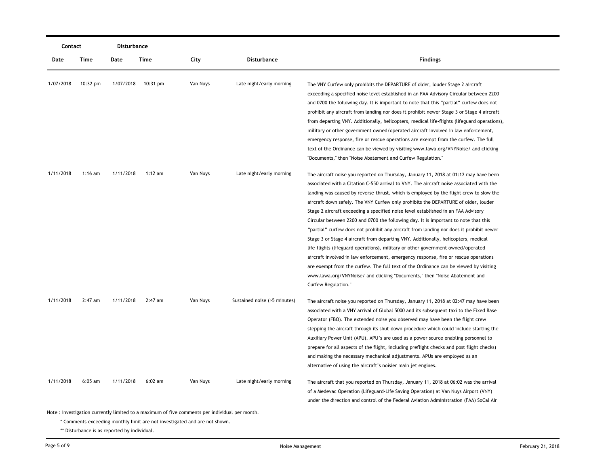|           | Contact            |           | Disturbance |          |                              |                                                                                                                                                                                                                                                                                                                                                                                                                                                                                                                                                                                                                                                                                                                                                                                                                                                                                                                                                                                                                                                                                                      |
|-----------|--------------------|-----------|-------------|----------|------------------------------|------------------------------------------------------------------------------------------------------------------------------------------------------------------------------------------------------------------------------------------------------------------------------------------------------------------------------------------------------------------------------------------------------------------------------------------------------------------------------------------------------------------------------------------------------------------------------------------------------------------------------------------------------------------------------------------------------------------------------------------------------------------------------------------------------------------------------------------------------------------------------------------------------------------------------------------------------------------------------------------------------------------------------------------------------------------------------------------------------|
| Date      | <b>Time</b>        | Date      | Time        | City     | <b>Disturbance</b>           | <b>Findings</b>                                                                                                                                                                                                                                                                                                                                                                                                                                                                                                                                                                                                                                                                                                                                                                                                                                                                                                                                                                                                                                                                                      |
| 1/07/2018 | $10:32 \text{ pm}$ | 1/07/2018 | 10:31 pm    | Van Nuys | Late night/early morning     | The VNY Curfew only prohibits the DEPARTURE of older, louder Stage 2 aircraft<br>exceeding a specified noise level established in an FAA Advisory Circular between 2200<br>and 0700 the following day. It is important to note that this "partial" curfew does not<br>prohibit any aircraft from landing nor does it prohibit newer Stage 3 or Stage 4 aircraft<br>from departing VNY. Additionally, helicopters, medical life-flights (lifeguard operations),<br>military or other government owned/operated aircraft involved in law enforcement,<br>emergency response, fire or rescue operations are exempt from the curfew. The full<br>text of the Ordinance can be viewed by visiting www.lawa.org/VNYNoise/ and clicking<br>"Documents," then "Noise Abatement and Curfew Regulation."                                                                                                                                                                                                                                                                                                       |
| 1/11/2018 | $1:16$ am          | 1/11/2018 | $1:12$ am   | Van Nuys | Late night/early morning     | The aircraft noise you reported on Thursday, January 11, 2018 at 01:12 may have been<br>associated with a Citation C-550 arrival to VNY. The aircraft noise associated with the<br>landing was caused by reverse-thrust, which is employed by the flight crew to slow the<br>aircraft down safely. The VNY Curfew only prohibits the DEPARTURE of older, louder<br>Stage 2 aircraft exceeding a specified noise level established in an FAA Advisory<br>Circular between 2200 and 0700 the following day. It is important to note that this<br>"partial" curfew does not prohibit any aircraft from landing nor does it prohibit newer<br>Stage 3 or Stage 4 aircraft from departing VNY. Additionally, helicopters, medical<br>life-flights (lifeguard operations), military or other government owned/operated<br>aircraft involved in law enforcement, emergency response, fire or rescue operations<br>are exempt from the curfew. The full text of the Ordinance can be viewed by visiting<br>www.lawa.org/VNYNoise/ and clicking "Documents," then "Noise Abatement and<br>Curfew Regulation." |
| 1/11/2018 | $2:47$ am          | 1/11/2018 | 2:47 am     | Van Nuys | Sustained noise (>5 minutes) | The aircraft noise you reported on Thursday, January 11, 2018 at 02:47 may have been<br>associated with a VNY arrival of Global 5000 and its subsequent taxi to the Fixed Base<br>Operator (FBO). The extended noise you observed may have been the flight crew<br>stepping the aircraft through its shut-down procedure which could include starting the<br>Auxiliary Power Unit (APU). APU's are used as a power source enabling personnel to<br>prepare for all aspects of the flight, including preflight checks and post flight checks)<br>and making the necessary mechanical adjustments. APUs are employed as an<br>alternative of using the aircraft's noisier main jet engines.                                                                                                                                                                                                                                                                                                                                                                                                            |
| 1/11/2018 | $6:05$ am          | 1/11/2018 | $6:02$ am   | Van Nuys | Late night/early morning     | The aircraft that you reported on Thursday, January 11, 2018 at 06:02 was the arrival<br>of a Medevac Operation (Lifeguard-Life Saving Operation) at Van Nuys Airport (VNY)<br>under the direction and control of the Federal Aviation Administration (FAA) SoCal Air                                                                                                                                                                                                                                                                                                                                                                                                                                                                                                                                                                                                                                                                                                                                                                                                                                |

\* Comments exceeding monthly limit are not investigated and are not shown.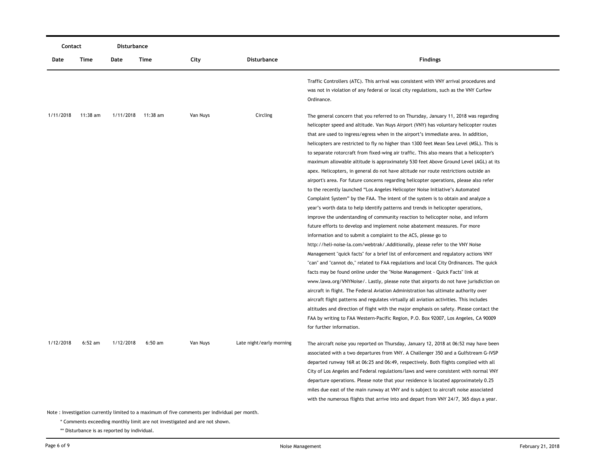| Contact   |           | Disturbance |                    |          |                          |                                                                                                                                                                                                                                                                                                                                                                                                                                                                                                                                                                                                                                                                                                                                                                                                                                                                                                                                                                                                                                                                                                                                                                                                                                                                                                                                                                                                                                                                                                                                                                                                                                                                                                                                                                                                                                                                                                                                                                                                                                                                              |
|-----------|-----------|-------------|--------------------|----------|--------------------------|------------------------------------------------------------------------------------------------------------------------------------------------------------------------------------------------------------------------------------------------------------------------------------------------------------------------------------------------------------------------------------------------------------------------------------------------------------------------------------------------------------------------------------------------------------------------------------------------------------------------------------------------------------------------------------------------------------------------------------------------------------------------------------------------------------------------------------------------------------------------------------------------------------------------------------------------------------------------------------------------------------------------------------------------------------------------------------------------------------------------------------------------------------------------------------------------------------------------------------------------------------------------------------------------------------------------------------------------------------------------------------------------------------------------------------------------------------------------------------------------------------------------------------------------------------------------------------------------------------------------------------------------------------------------------------------------------------------------------------------------------------------------------------------------------------------------------------------------------------------------------------------------------------------------------------------------------------------------------------------------------------------------------------------------------------------------------|
| Date      | Time      | Date        | <b>Time</b>        | City     | <b>Disturbance</b>       | <b>Findings</b>                                                                                                                                                                                                                                                                                                                                                                                                                                                                                                                                                                                                                                                                                                                                                                                                                                                                                                                                                                                                                                                                                                                                                                                                                                                                                                                                                                                                                                                                                                                                                                                                                                                                                                                                                                                                                                                                                                                                                                                                                                                              |
|           |           |             |                    |          |                          | Traffic Controllers (ATC). This arrival was consistent with VNY arrival procedures and<br>was not in violation of any federal or local city regulations, such as the VNY Curfew<br>Ordinance.                                                                                                                                                                                                                                                                                                                                                                                                                                                                                                                                                                                                                                                                                                                                                                                                                                                                                                                                                                                                                                                                                                                                                                                                                                                                                                                                                                                                                                                                                                                                                                                                                                                                                                                                                                                                                                                                                |
| 1/11/2018 | 11:38 am  |             | 1/11/2018 11:38 am | Van Nuys | Circling                 | The general concern that you referred to on Thursday, January 11, 2018 was regarding<br>helicopter speed and altitude. Van Nuys Airport (VNY) has voluntary helicopter routes<br>that are used to ingress/egress when in the airport's immediate area. In addition,<br>helicopters are restricted to fly no higher than 1300 feet Mean Sea Level (MSL). This is<br>to separate rotorcraft from fixed-wing air traffic. This also means that a helicopter's<br>maximum allowable altitude is approximately 530 feet Above Ground Level (AGL) at its<br>apex. Helicopters, in general do not have altitude nor route restrictions outside an<br>airport's area. For future concerns regarding helicopter operations, please also refer<br>to the recently launched "Los Angeles Helicopter Noise Initiative's Automated<br>Complaint System" by the FAA. The intent of the system is to obtain and analyze a<br>year's worth data to help identify patterns and trends in helicopter operations,<br>improve the understanding of community reaction to helicopter noise, and inform<br>future efforts to develop and implement noise abatement measures. For more<br>information and to submit a complaint to the ACS, please go to<br>http://heli-noise-la.com/webtrak/.Additionally, please refer to the VNY Noise<br>Management "quick facts" for a brief list of enforcement and regulatory actions VNY<br>"can" and "cannot do," related to FAA regulations and local City Ordinances. The quick<br>facts may be found online under the "Noise Management - Quick Facts" link at<br>www.lawa.org/VNYNoise/. Lastly, please note that airports do not have jurisdiction on<br>aircraft in flight. The Federal Aviation Administration has ultimate authority over<br>aircraft flight patterns and regulates virtually all aviation activities. This includes<br>altitudes and direction of flight with the major emphasis on safety. Please contact the<br>FAA by writing to FAA Western-Pacific Region, P.O. Box 92007, Los Angeles, CA 90009<br>for further information. |
| 1/12/2018 | $6:52$ am | 1/12/2018   | $6:50$ am          | Van Nuys | Late night/early morning | The aircraft noise you reported on Thursday, January 12, 2018 at 06:52 may have been<br>associated with a two departures from VNY. A Challenger 350 and a Gulfstream G-IVSP<br>departed runway 16R at 06:25 and 06:49, respectively. Both flights complied with all<br>City of Los Angeles and Federal regulations/laws and were consistent with normal VNY<br>departure operations. Please note that your residence is located approximately 0.25<br>miles due east of the main runway at VNY and is subject to aircraft noise associated<br>with the numerous flights that arrive into and depart from VNY 24/7, 365 days a year.                                                                                                                                                                                                                                                                                                                                                                                                                                                                                                                                                                                                                                                                                                                                                                                                                                                                                                                                                                                                                                                                                                                                                                                                                                                                                                                                                                                                                                          |

\* Comments exceeding monthly limit are not investigated and are not shown.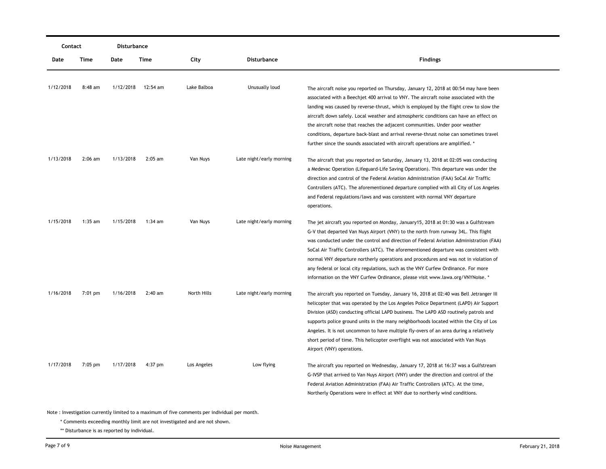| Contact   |           | Disturbance |           |             |                          |                                                                                                                                                                               |
|-----------|-----------|-------------|-----------|-------------|--------------------------|-------------------------------------------------------------------------------------------------------------------------------------------------------------------------------|
| Date      | Time      | Date        | Time      | City        | <b>Disturbance</b>       | <b>Findings</b>                                                                                                                                                               |
| 1/12/2018 | $8:48$ am | 1/12/2018   | 12:54 am  | Lake Balboa | Unusually loud           |                                                                                                                                                                               |
|           |           |             |           |             |                          | The aircraft noise you reported on Thursday, January 12, 2018 at 00:54 may have been<br>associated with a Beechjet 400 arrival to VNY. The aircraft noise associated with the |
|           |           |             |           |             |                          | landing was caused by reverse-thrust, which is employed by the flight crew to slow the                                                                                        |
|           |           |             |           |             |                          | aircraft down safely. Local weather and atmospheric conditions can have an effect on                                                                                          |
|           |           |             |           |             |                          | the aircraft noise that reaches the adjacent communities. Under poor weather                                                                                                  |
|           |           |             |           |             |                          | conditions, departure back-blast and arrival reverse-thrust noise can sometimes travel                                                                                        |
|           |           |             |           |             |                          | further since the sounds associated with aircraft operations are amplified. *                                                                                                 |
| 1/13/2018 | $2:06$ am | 1/13/2018   | $2:05$ am | Van Nuys    | Late night/early morning | The aircraft that you reported on Saturday, January 13, 2018 at 02:05 was conducting                                                                                          |
|           |           |             |           |             |                          | a Medevac Operation (Lifeguard-Life Saving Operation). This departure was under the                                                                                           |
|           |           |             |           |             |                          | direction and control of the Federal Aviation Administration (FAA) SoCal Air Traffic                                                                                          |
|           |           |             |           |             |                          | Controllers (ATC). The aforementioned departure complied with all City of Los Angeles                                                                                         |
|           |           |             |           |             |                          | and Federal regulations/laws and was consistent with normal VNY departure                                                                                                     |
|           |           |             |           |             |                          | operations.                                                                                                                                                                   |
| 1/15/2018 | $1:35$ am | 1/15/2018   | $1:34$ am | Van Nuys    | Late night/early morning | The jet aircraft you reported on Monday, January15, 2018 at 01:30 was a Gulfstream                                                                                            |
|           |           |             |           |             |                          | G-V that departed Van Nuys Airport (VNY) to the north from runway 34L. This flight                                                                                            |
|           |           |             |           |             |                          | was conducted under the control and direction of Federal Aviation Administration (FAA)                                                                                        |
|           |           |             |           |             |                          | SoCal Air Traffic Controllers (ATC). The aforementioned departure was consistent with                                                                                         |
|           |           |             |           |             |                          | normal VNY departure northerly operations and procedures and was not in violation of                                                                                          |
|           |           |             |           |             |                          | any federal or local city regulations, such as the VNY Curfew Ordinance. For more                                                                                             |
|           |           |             |           |             |                          | information on the VNY Curfew Ordinance, please visit www.lawa.org/VNYNoise. *                                                                                                |
| 1/16/2018 | 7:01 pm   | 1/16/2018   | $2:40$ am | North Hills | Late night/early morning | The aircraft you reported on Tuesday, January 16, 2018 at 02:40 was Bell Jetranger III                                                                                        |
|           |           |             |           |             |                          | helicopter that was operated by the Los Angeles Police Department (LAPD) Air Support                                                                                          |
|           |           |             |           |             |                          | Division (ASD) conducting official LAPD business. The LAPD ASD routinely patrols and                                                                                          |
|           |           |             |           |             |                          | supports police ground units in the many neighborhoods located within the City of Los                                                                                         |
|           |           |             |           |             |                          | Angeles. It is not uncommon to have multiple fly-overs of an area during a relatively                                                                                         |
|           |           |             |           |             |                          | short period of time. This helicopter overflight was not associated with Van Nuys                                                                                             |
|           |           |             |           |             |                          | Airport (VNY) operations.                                                                                                                                                     |
| 1/17/2018 | $7:05$ pm | 1/17/2018   | $4:37$ pm | Los Angeles | Low flying               | The aircraft you reported on Wednesday, January 17, 2018 at 16:37 was a Gulfstream                                                                                            |
|           |           |             |           |             |                          | G-IVSP that arrived to Van Nuys Airport (VNY) under the direction and control of the                                                                                          |
|           |           |             |           |             |                          | Federal Aviation Administration (FAA) Air Traffic Controllers (ATC). At the time,                                                                                             |
|           |           |             |           |             |                          | Northerly Operations were in effect at VNY due to northerly wind conditions.                                                                                                  |
|           |           |             |           |             |                          |                                                                                                                                                                               |

\* Comments exceeding monthly limit are not investigated and are not shown.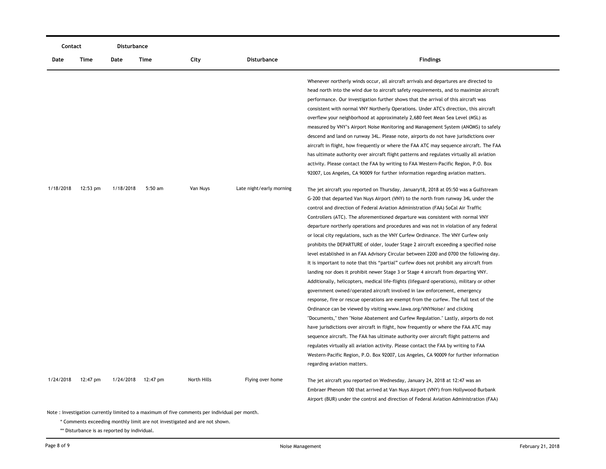| Contact   |          | Disturbance |          |             |                          |                                                                                                                                                                                                                                                                                                                                                                                                                                                                                                                                                                                                                                                                                                                                                                                                                                                                                                                                                                                                                                                                                                                                                                                                                                                                                                                                                                                                                                                                                                                                                                                                                                                                                                                                  |
|-----------|----------|-------------|----------|-------------|--------------------------|----------------------------------------------------------------------------------------------------------------------------------------------------------------------------------------------------------------------------------------------------------------------------------------------------------------------------------------------------------------------------------------------------------------------------------------------------------------------------------------------------------------------------------------------------------------------------------------------------------------------------------------------------------------------------------------------------------------------------------------------------------------------------------------------------------------------------------------------------------------------------------------------------------------------------------------------------------------------------------------------------------------------------------------------------------------------------------------------------------------------------------------------------------------------------------------------------------------------------------------------------------------------------------------------------------------------------------------------------------------------------------------------------------------------------------------------------------------------------------------------------------------------------------------------------------------------------------------------------------------------------------------------------------------------------------------------------------------------------------|
| Date      | Time     | Date        | Time     | City        | <b>Disturbance</b>       | <b>Findings</b>                                                                                                                                                                                                                                                                                                                                                                                                                                                                                                                                                                                                                                                                                                                                                                                                                                                                                                                                                                                                                                                                                                                                                                                                                                                                                                                                                                                                                                                                                                                                                                                                                                                                                                                  |
|           |          |             |          |             |                          | Whenever northerly winds occur, all aircraft arrivals and departures are directed to<br>head north into the wind due to aircraft safety requirements, and to maximize aircraft<br>performance. Our investigation further shows that the arrival of this aircraft was<br>consistent with normal VNY Northerly Operations. Under ATC's direction, this aircraft<br>overflew your neighborhood at approximately 2,680 feet Mean Sea Level (MSL) as<br>measured by VNY's Airport Noise Monitoring and Management System (ANOMS) to safely<br>descend and land on runway 34L. Please note, airports do not have jurisdictions over<br>aircraft in flight, how frequently or where the FAA ATC may sequence aircraft. The FAA<br>has ultimate authority over aircraft flight patterns and regulates virtually all aviation<br>activity. Please contact the FAA by writing to FAA Western-Pacific Region, P.O. Box<br>92007, Los Angeles, CA 90009 for further information regarding aviation matters.                                                                                                                                                                                                                                                                                                                                                                                                                                                                                                                                                                                                                                                                                                                                  |
| 1/18/2018 | 12:53 pm | 1/18/2018   | 5:50 am  | Van Nuys    | Late night/early morning | The jet aircraft you reported on Thursday, January 18, 2018 at 05:50 was a Gulfstream<br>G-200 that departed Van Nuys Airport (VNY) to the north from runway 34L under the<br>control and direction of Federal Aviation Administration (FAA) SoCal Air Traffic<br>Controllers (ATC). The aforementioned departure was consistent with normal VNY<br>departure northerly operations and procedures and was not in violation of any federal<br>or local city regulations, such as the VNY Curfew Ordinance. The VNY Curfew only<br>prohibits the DEPARTURE of older, louder Stage 2 aircraft exceeding a specified noise<br>level established in an FAA Advisory Circular between 2200 and 0700 the following day.<br>It is important to note that this "partial" curfew does not prohibit any aircraft from<br>landing nor does it prohibit newer Stage 3 or Stage 4 aircraft from departing VNY.<br>Additionally, helicopters, medical life-flights (lifeguard operations), military or other<br>government owned/operated aircraft involved in law enforcement, emergency<br>response, fire or rescue operations are exempt from the curfew. The full text of the<br>Ordinance can be viewed by visiting www.lawa.org/VNYNoise/ and clicking<br>"Documents," then "Noise Abatement and Curfew Regulation." Lastly, airports do not<br>have jurisdictions over aircraft in flight, how frequently or where the FAA ATC may<br>sequence aircraft. The FAA has ultimate authority over aircraft flight patterns and<br>regulates virtually all aviation activity. Please contact the FAA by writing to FAA<br>Western-Pacific Region, P.O. Box 92007, Los Angeles, CA 90009 for further information<br>regarding aviation matters. |
| 1/24/2018 | 12:47 pm | 1/24/2018   | 12:47 pm | North Hills | Flying over home         | The jet aircraft you reported on Wednesday, January 24, 2018 at 12:47 was an<br>Embraer Phenom 100 that arrived at Van Nuys Airport (VNY) from Hollywood-Burbank<br>Airport (BUR) under the control and direction of Federal Aviation Administration (FAA)                                                                                                                                                                                                                                                                                                                                                                                                                                                                                                                                                                                                                                                                                                                                                                                                                                                                                                                                                                                                                                                                                                                                                                                                                                                                                                                                                                                                                                                                       |

\* Comments exceeding monthly limit are not investigated and are not shown.